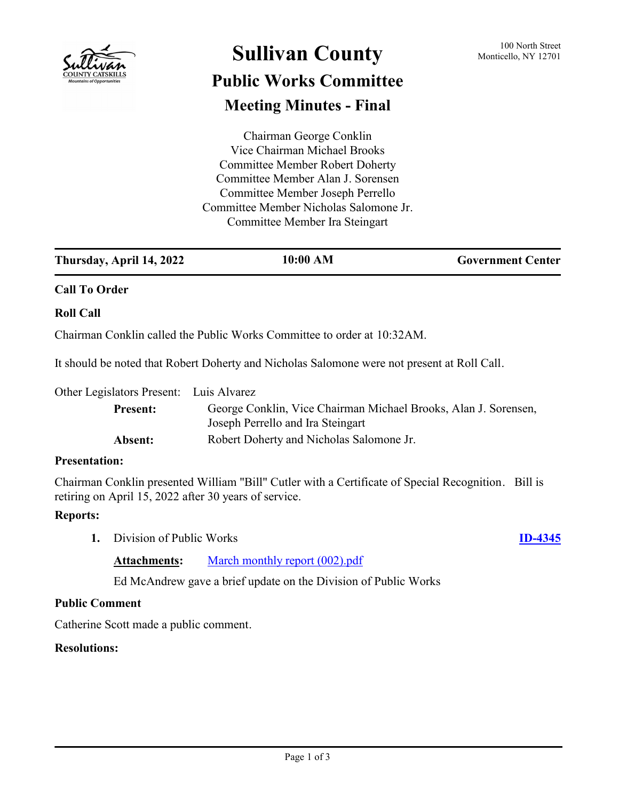

## **Sullivan County** 100 North Street 100 North Street **Public Works Committee**

# **Meeting Minutes - Final**

Chairman George Conklin Vice Chairman Michael Brooks Committee Member Robert Doherty Committee Member Alan J. Sorensen Committee Member Joseph Perrello Committee Member Nicholas Salomone Jr. Committee Member Ira Steingart

| Thursday, April 14, 2022 | 10:00 AM | <b>Government Center</b> |
|--------------------------|----------|--------------------------|
|                          |          |                          |

### **Call To Order**

### **Roll Call**

Chairman Conklin called the Public Works Committee to order at 10:32AM.

It should be noted that Robert Doherty and Nicholas Salomone were not present at Roll Call.

Other Legislators Present: Luis Alvarez

| <b>Present:</b> | George Conklin, Vice Chairman Michael Brooks, Alan J. Sorensen,<br>Joseph Perrello and Ira Steingart |
|-----------------|------------------------------------------------------------------------------------------------------|
| Absent:         | Robert Doherty and Nicholas Salomone Jr.                                                             |

### **Presentation:**

Chairman Conklin presented William "Bill" Cutler with a Certificate of Special Recognition. Bill is retiring on April 15, 2022 after 30 years of service.

### **Reports:**

**1.** Division of Public Works **[ID-4345](http://sullivancountyny.legistar.com/gateway.aspx?m=l&id=/matter.aspx?key=1371)**

### Attachments: [March monthly report \(002\).pdf](http://sullivancountyny.legistar.com/gateway.aspx?M=F&ID=bed0bffc-a57f-4fbc-ae19-7337775c25d9.pdf)

Ed McAndrew gave a brief update on the Division of Public Works

### **Public Comment**

Catherine Scott made a public comment.

### **Resolutions:**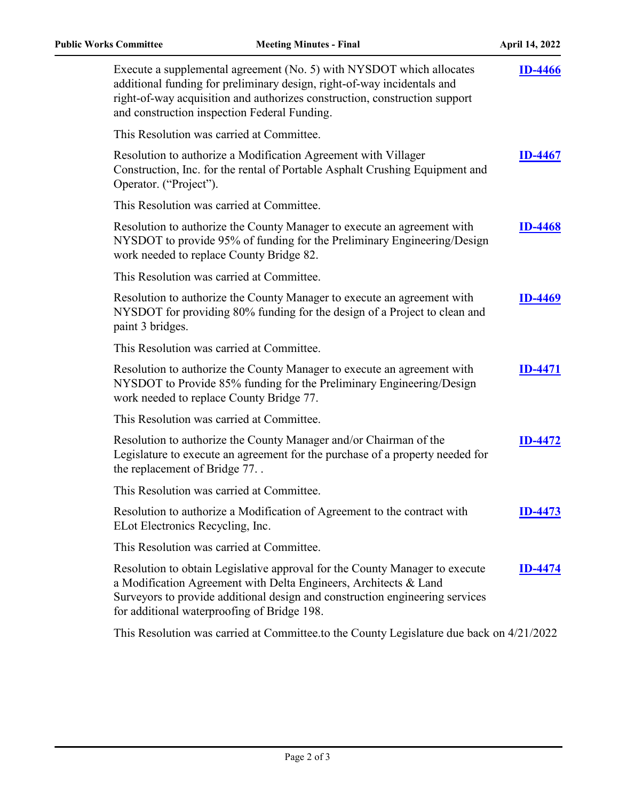| Execute a supplemental agreement (No. 5) with NYSDOT which allocates<br>additional funding for preliminary design, right-of-way incidentals and<br>right-of-way acquisition and authorizes construction, construction support<br>and construction inspection Federal Funding.  | <b>ID-4466</b> |
|--------------------------------------------------------------------------------------------------------------------------------------------------------------------------------------------------------------------------------------------------------------------------------|----------------|
| This Resolution was carried at Committee.                                                                                                                                                                                                                                      |                |
| Resolution to authorize a Modification Agreement with Villager<br>Construction, Inc. for the rental of Portable Asphalt Crushing Equipment and<br>Operator. ("Project").                                                                                                       | <b>ID-4467</b> |
| This Resolution was carried at Committee.                                                                                                                                                                                                                                      |                |
| Resolution to authorize the County Manager to execute an agreement with<br>NYSDOT to provide 95% of funding for the Preliminary Engineering/Design<br>work needed to replace County Bridge 82.                                                                                 | <b>ID-4468</b> |
| This Resolution was carried at Committee.                                                                                                                                                                                                                                      |                |
| Resolution to authorize the County Manager to execute an agreement with<br>NYSDOT for providing 80% funding for the design of a Project to clean and<br>paint 3 bridges.                                                                                                       | <b>ID-4469</b> |
| This Resolution was carried at Committee.                                                                                                                                                                                                                                      |                |
| Resolution to authorize the County Manager to execute an agreement with<br>NYSDOT to Provide 85% funding for the Preliminary Engineering/Design<br>work needed to replace County Bridge 77.                                                                                    | <b>ID-4471</b> |
| This Resolution was carried at Committee.                                                                                                                                                                                                                                      |                |
| Resolution to authorize the County Manager and/or Chairman of the<br>Legislature to execute an agreement for the purchase of a property needed for<br>the replacement of Bridge 77                                                                                             | <b>ID-4472</b> |
| This Resolution was carried at Committee.                                                                                                                                                                                                                                      |                |
| Resolution to authorize a Modification of Agreement to the contract with<br>ELot Electronics Recycling, Inc.                                                                                                                                                                   | <b>ID-4473</b> |
| This Resolution was carried at Committee.                                                                                                                                                                                                                                      |                |
| Resolution to obtain Legislative approval for the County Manager to execute<br>a Modification Agreement with Delta Engineers, Architects & Land<br>Surveyors to provide additional design and construction engineering services<br>for additional waterproofing of Bridge 198. | <b>ID-4474</b> |
| This Resolution was carried at Committee.to the County Legislature due back on 4/21/2022                                                                                                                                                                                       |                |